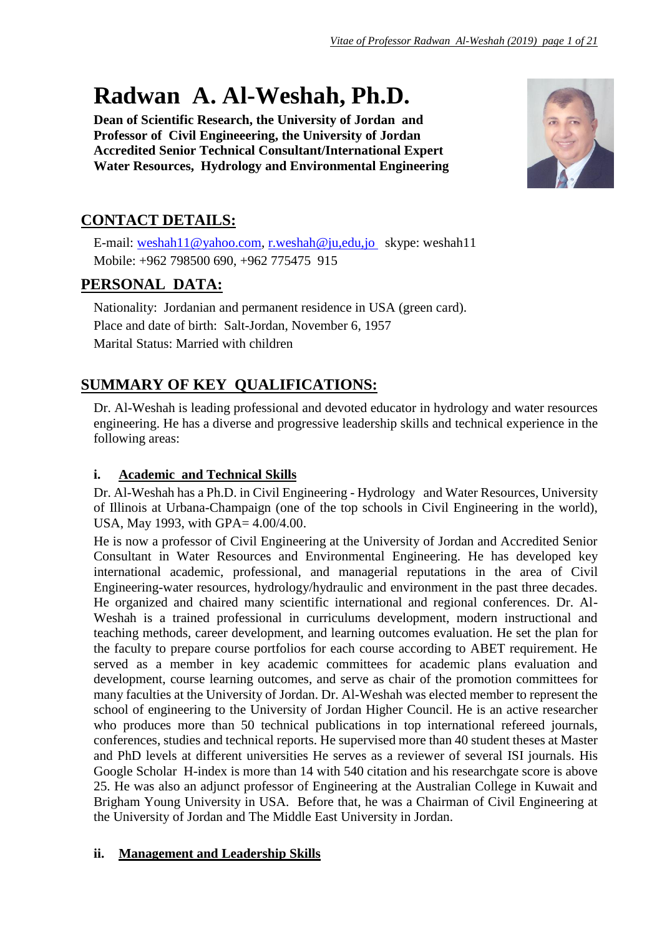# **Radwan A. Al-Weshah, Ph.D.**

**Dean of Scientific Research, the University of Jordan and Professor of Civil Engineeering, the University of Jordan Accredited Senior Technical Consultant/International Expert Water Resources, Hydrology and Environmental Engineering**



# **CONTACT DETAILS:**

E-mail: [weshah11@yahoo.com,](mailto:weshah11@yahoo.com) [r.weshah@ju,edu,jo](mailto:r.weshah@ju,edu,jo) skype: weshah11 Mobile: +962 798500 690, +962 775475 915

# **PERSONAL DATA:**

Nationality: Jordanian and permanent residence in USA (green card). Place and date of birth: Salt-Jordan, November 6, 1957 Marital Status: Married with children

# **SUMMARY OF KEY QUALIFICATIONS:**

Dr. Al-Weshah is leading professional and devoted educator in hydrology and water resources engineering. He has a diverse and progressive leadership skills and technical experience in the following areas:

# **i. Academic and Technical Skills**

Dr. Al-Weshah has a Ph.D. in Civil Engineering - Hydrology and Water Resources, University of Illinois at Urbana-Champaign (one of the top schools in Civil Engineering in the world), USA, May 1993, with GPA= 4.00/4.00.

He is now a professor of Civil Engineering at the University of Jordan and Accredited Senior Consultant in Water Resources and Environmental Engineering. He has developed key international academic, professional, and managerial reputations in the area of Civil Engineering-water resources, hydrology/hydraulic and environment in the past three decades. He organized and chaired many scientific international and regional conferences. Dr. Al-Weshah is a trained professional in curriculums development, modern instructional and teaching methods, career development, and learning outcomes evaluation. He set the plan for the faculty to prepare course portfolios for each course according to ABET requirement. He served as a member in key academic committees for academic plans evaluation and development, course learning outcomes, and serve as chair of the promotion committees for many faculties at the University of Jordan. Dr. Al-Weshah was elected member to represent the school of engineering to the University of Jordan Higher Council. He is an active researcher who produces more than 50 technical publications in top international refereed journals, conferences, studies and technical reports. He supervised more than 40 student theses at Master and PhD levels at different universities He serves as a reviewer of several ISI journals. His Google Scholar H-index is more than 14 with 540 citation and his researchgate score is above 25. He was also an adjunct professor of Engineering at the Australian College in Kuwait and Brigham Young University in USA. Before that, he was a Chairman of Civil Engineering at the University of Jordan and The Middle East University in Jordan.

# **ii. Management and Leadership Skills**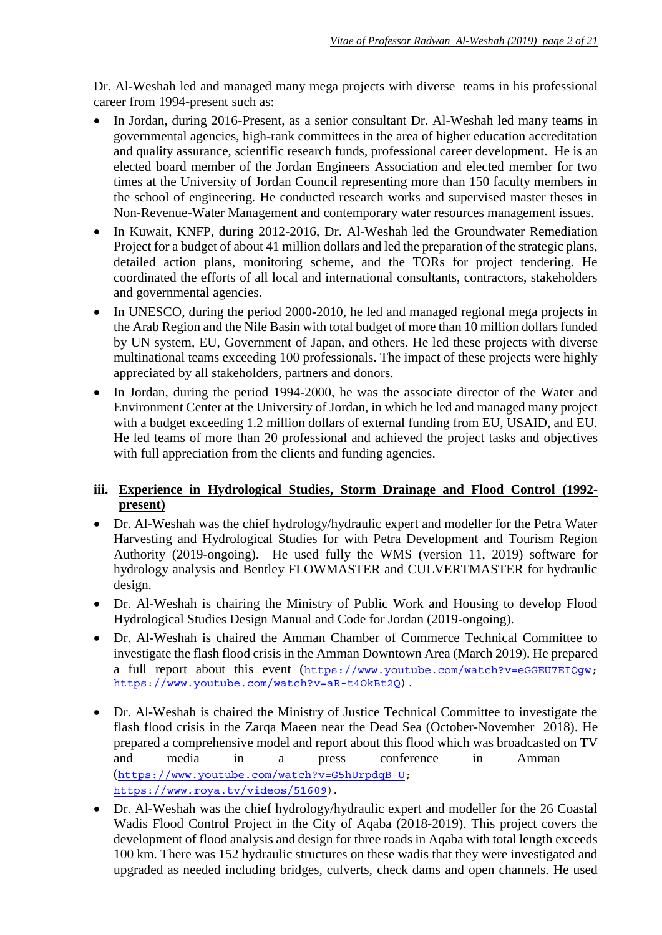Dr. Al-Weshah led and managed many mega projects with diverse teams in his professional career from 1994-present such as:

- In Jordan, during 2016-Present, as a senior consultant Dr. Al-Weshah led many teams in governmental agencies, high-rank committees in the area of higher education accreditation and quality assurance, scientific research funds, professional career development. He is an elected board member of the Jordan Engineers Association and elected member for two times at the University of Jordan Council representing more than 150 faculty members in the school of engineering. He conducted research works and supervised master theses in Non-Revenue-Water Management and contemporary water resources management issues.
- In Kuwait, KNFP, during 2012-2016, Dr. Al-Weshah led the Groundwater Remediation Project for a budget of about 41 million dollars and led the preparation of the strategic plans, detailed action plans, monitoring scheme, and the TORs for project tendering. He coordinated the efforts of all local and international consultants, contractors, stakeholders and governmental agencies.
- In UNESCO, during the period 2000-2010, he led and managed regional mega projects in the Arab Region and the Nile Basin with total budget of more than 10 million dollars funded by UN system, EU, Government of Japan, and others. He led these projects with diverse multinational teams exceeding 100 professionals. The impact of these projects were highly appreciated by all stakeholders, partners and donors.
- In Jordan, during the period 1994-2000, he was the associate director of the Water and Environment Center at the University of Jordan, in which he led and managed many project with a budget exceeding 1.2 million dollars of external funding from EU, USAID, and EU. He led teams of more than 20 professional and achieved the project tasks and objectives with full appreciation from the clients and funding agencies.

#### **iii. Experience in Hydrological Studies, Storm Drainage and Flood Control (1992 present)**

- Dr. Al-Weshah was the chief hydrology/hydraulic expert and modeller for the Petra Water Harvesting and Hydrological Studies for with Petra Development and Tourism Region Authority (2019-ongoing). He used fully the WMS (version 11, 2019) software for hydrology analysis and Bentley FLOWMASTER and CULVERTMASTER for hydraulic design.
- Dr. Al-Weshah is chairing the Ministry of Public Work and Housing to develop Flood Hydrological Studies Design Manual and Code for Jordan (2019-ongoing).
- Dr. Al-Weshah is chaired the Amman Chamber of Commerce Technical Committee to investigate the flash flood crisis in the Amman Downtown Area (March 2019). He prepared a full report about this event ([https://www.youtube.com/watch?v=eGGEU7EIQgw;](https://www.youtube.com/watch?v=eGGEU7EIQgw) [https://www.youtube.com/watch?v=aR-t4OkBt2Q\)](https://www.youtube.com/watch?v=aR-t4OkBt2Q).
- Dr. Al-Weshah is chaired the Ministry of Justice Technical Committee to investigate the flash flood crisis in the Zarqa Maeen near the Dead Sea (October-November 2018). He prepared a comprehensive model and report about this flood which was broadcasted on TV and media in a press conference in Amman ([https://www.youtube.com/watch?v=G5hUrpdqB-U;](https://www.youtube.com/watch?v=G5hUrpdqB-U) [https://www.roya.tv/videos/51609\)](https://www.roya.tv/videos/51609).
- Dr. Al-Weshah was the chief hydrology/hydraulic expert and modeller for the 26 Coastal Wadis Flood Control Project in the City of Aqaba (2018-2019). This project covers the development of flood analysis and design for three roads in Aqaba with total length exceeds 100 km. There was 152 hydraulic structures on these wadis that they were investigated and upgraded as needed including bridges, culverts, check dams and open channels. He used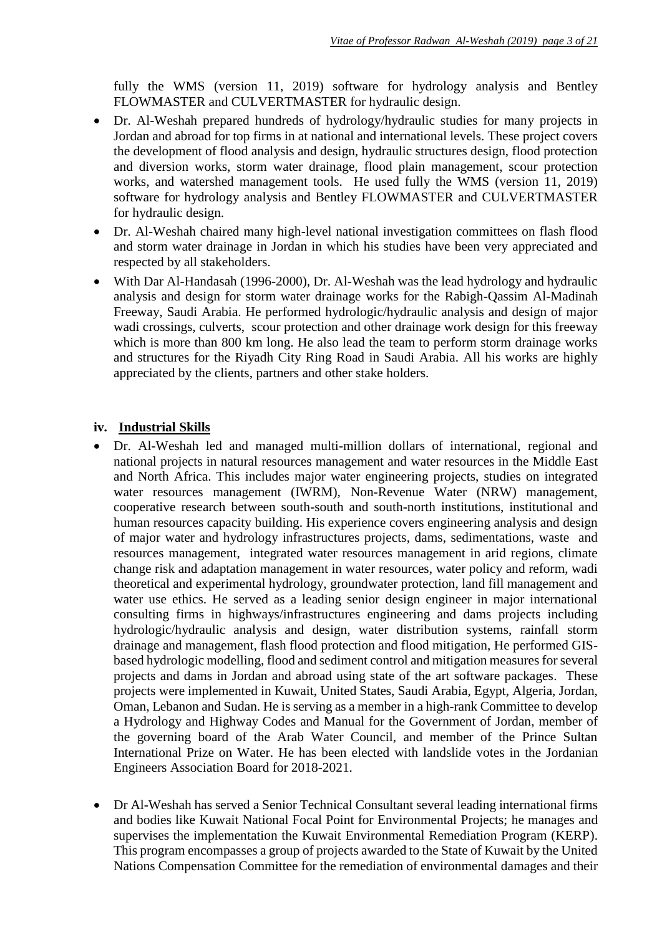fully the WMS (version 11, 2019) software for hydrology analysis and Bentley FLOWMASTER and CULVERTMASTER for hydraulic design.

- Dr. Al-Weshah prepared hundreds of hydrology/hydraulic studies for many projects in Jordan and abroad for top firms in at national and international levels. These project covers the development of flood analysis and design, hydraulic structures design, flood protection and diversion works, storm water drainage, flood plain management, scour protection works, and watershed management tools. He used fully the WMS (version 11, 2019) software for hydrology analysis and Bentley FLOWMASTER and CULVERTMASTER for hydraulic design.
- Dr. Al-Weshah chaired many high-level national investigation committees on flash flood and storm water drainage in Jordan in which his studies have been very appreciated and respected by all stakeholders.
- With Dar Al-Handasah (1996-2000), Dr. Al-Weshah was the lead hydrology and hydraulic analysis and design for storm water drainage works for the Rabigh-Qassim Al-Madinah Freeway, Saudi Arabia. He performed hydrologic/hydraulic analysis and design of major wadi crossings, culverts, scour protection and other drainage work design for this freeway which is more than 800 km long. He also lead the team to perform storm drainage works and structures for the Riyadh City Ring Road in Saudi Arabia. All his works are highly appreciated by the clients, partners and other stake holders.

#### **iv. Industrial Skills**

- Dr. Al-Weshah led and managed multi-million dollars of international, regional and national projects in natural resources management and water resources in the Middle East and North Africa. This includes major water engineering projects, studies on integrated water resources management (IWRM), Non-Revenue Water (NRW) management, cooperative research between south-south and south-north institutions, institutional and human resources capacity building. His experience covers engineering analysis and design of major water and hydrology infrastructures projects, dams, sedimentations, waste and resources management, integrated water resources management in arid regions, climate change risk and adaptation management in water resources, water policy and reform, wadi theoretical and experimental hydrology, groundwater protection, land fill management and water use ethics. He served as a leading senior design engineer in major international consulting firms in highways/infrastructures engineering and dams projects including hydrologic/hydraulic analysis and design, water distribution systems, rainfall storm drainage and management, flash flood protection and flood mitigation, He performed GISbased hydrologic modelling, flood and sediment control and mitigation measures for several projects and dams in Jordan and abroad using state of the art software packages. These projects were implemented in Kuwait, United States, Saudi Arabia, Egypt, Algeria, Jordan, Oman, Lebanon and Sudan. He is serving as a member in a high-rank Committee to develop a Hydrology and Highway Codes and Manual for the Government of Jordan, member of the governing board of the Arab Water Council, and member of the Prince Sultan International Prize on Water. He has been elected with landslide votes in the Jordanian Engineers Association Board for 2018-2021.
- Dr Al-Weshah has served a Senior Technical Consultant several leading international firms and bodies like Kuwait National Focal Point for Environmental Projects; he manages and supervises the implementation the Kuwait Environmental Remediation Program (KERP). This program encompasses a group of projects awarded to the State of Kuwait by the United Nations Compensation Committee for the remediation of environmental damages and their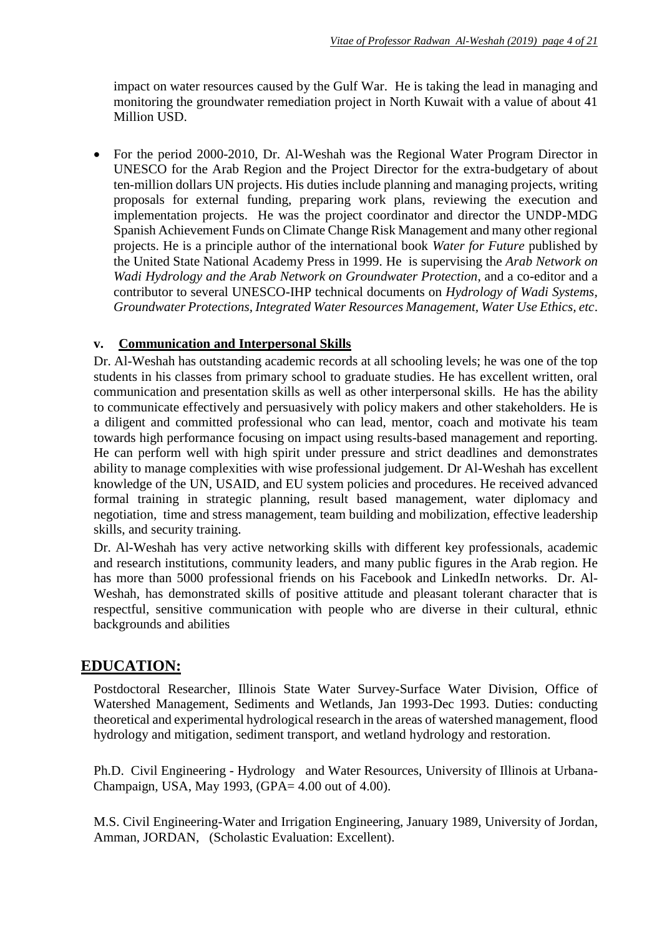impact on water resources caused by the Gulf War. He is taking the lead in managing and monitoring the groundwater remediation project in North Kuwait with a value of about 41 Million USD.

 For the period 2000-2010, Dr. Al-Weshah was the Regional Water Program Director in UNESCO for the Arab Region and the Project Director for the extra-budgetary of about ten-million dollars UN projects. His duties include planning and managing projects, writing proposals for external funding, preparing work plans, reviewing the execution and implementation projects. He was the project coordinator and director the UNDP-MDG Spanish Achievement Funds on Climate Change Risk Management and many other regional projects. He is a principle author of the international book *Water for Future* published by the United State National Academy Press in 1999. He is supervising the *Arab Network on Wadi Hydrology and the Arab Network on Groundwater Protection*, and a co-editor and a contributor to several UNESCO-IHP technical documents on *Hydrology of Wadi Systems, Groundwater Protections, Integrated Water Resources Management, Water Use Ethics, etc*.

#### **v. Communication and Interpersonal Skills**

Dr. Al-Weshah has outstanding academic records at all schooling levels; he was one of the top students in his classes from primary school to graduate studies. He has excellent written, oral communication and presentation skills as well as other interpersonal skills. He has the ability to communicate effectively and persuasively with policy makers and other stakeholders. He is a diligent and committed professional who can lead, mentor, coach and motivate his team towards high performance focusing on impact using results-based management and reporting. He can perform well with high spirit under pressure and strict deadlines and demonstrates ability to manage complexities with wise professional judgement. Dr Al-Weshah has excellent knowledge of the UN, USAID, and EU system policies and procedures. He received advanced formal training in strategic planning, result based management, water diplomacy and negotiation, time and stress management, team building and mobilization, effective leadership skills, and security training.

Dr. Al-Weshah has very active networking skills with different key professionals, academic and research institutions, community leaders, and many public figures in the Arab region. He has more than 5000 professional friends on his Facebook and LinkedIn networks. Dr. Al-Weshah, has demonstrated skills of positive attitude and pleasant tolerant character that is respectful, sensitive communication with people who are diverse in their cultural, ethnic backgrounds and abilities

# **EDUCATION:**

Postdoctoral Researcher, Illinois State Water Survey-Surface Water Division, Office of Watershed Management, Sediments and Wetlands, Jan 1993-Dec 1993. Duties: conducting theoretical and experimental hydrological research in the areas of watershed management, flood hydrology and mitigation, sediment transport, and wetland hydrology and restoration.

Ph.D. Civil Engineering - Hydrology and Water Resources, University of Illinois at Urbana-Champaign, USA, May 1993, (GPA= 4.00 out of 4.00).

M.S. Civil Engineering-Water and Irrigation Engineering, January 1989, University of Jordan, Amman, JORDAN, (Scholastic Evaluation: Excellent).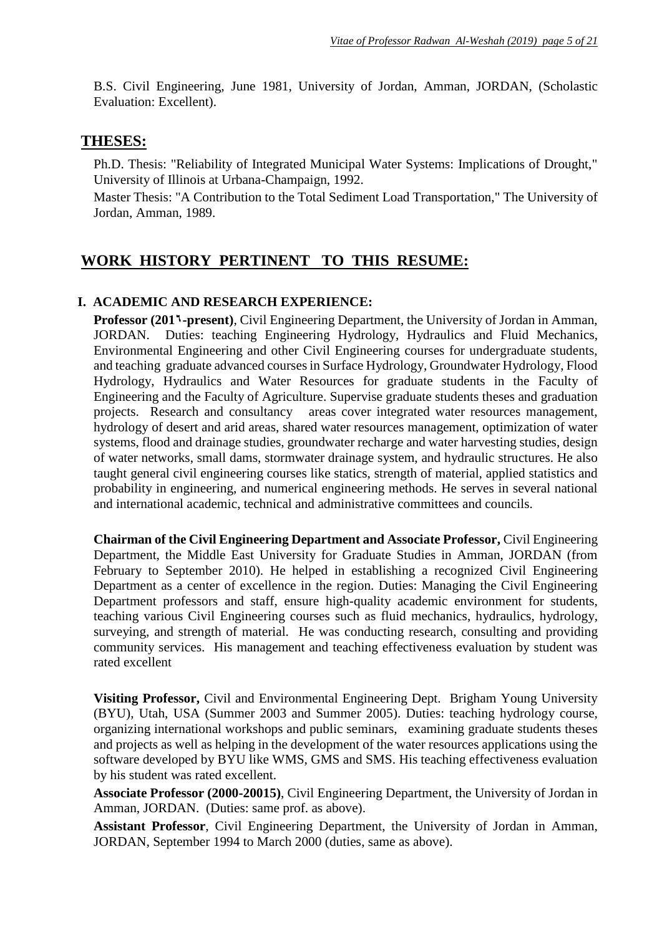B.S. Civil Engineering, June 1981, University of Jordan, Amman, JORDAN, (Scholastic Evaluation: Excellent).

### **THESES:**

Ph.D. Thesis: "Reliability of Integrated Municipal Water Systems: Implications of Drought," University of Illinois at Urbana-Champaign, 1992.

Master Thesis: "A Contribution to the Total Sediment Load Transportation," The University of Jordan, Amman, 1989.

# **WORK HISTORY PERTINENT TO THIS RESUME:**

#### **I. ACADEMIC AND RESEARCH EXPERIENCE:**

**Professor (201<sup>1</sup>-present)**, Civil Engineering Department, the University of Jordan in Amman, JORDAN. Duties: teaching Engineering Hydrology, Hydraulics and Fluid Mechanics, Environmental Engineering and other Civil Engineering courses for undergraduate students, and teaching graduate advanced courses in Surface Hydrology, Groundwater Hydrology, Flood Hydrology, Hydraulics and Water Resources for graduate students in the Faculty of Engineering and the Faculty of Agriculture. Supervise graduate students theses and graduation projects. Research and consultancy areas cover integrated water resources management, hydrology of desert and arid areas, shared water resources management, optimization of water systems, flood and drainage studies, groundwater recharge and water harvesting studies, design of water networks, small dams, stormwater drainage system, and hydraulic structures. He also taught general civil engineering courses like statics, strength of material, applied statistics and probability in engineering, and numerical engineering methods. He serves in several national and international academic, technical and administrative committees and councils.

**Chairman of the Civil Engineering Department and Associate Professor,** Civil Engineering Department, the Middle East University for Graduate Studies in Amman, JORDAN (from February to September 2010). He helped in establishing a recognized Civil Engineering Department as a center of excellence in the region. Duties: Managing the Civil Engineering Department professors and staff, ensure high-quality academic environment for students, teaching various Civil Engineering courses such as fluid mechanics, hydraulics, hydrology, surveying, and strength of material. He was conducting research, consulting and providing community services. His management and teaching effectiveness evaluation by student was rated excellent

**Visiting Professor,** Civil and Environmental Engineering Dept. Brigham Young University (BYU), Utah, USA (Summer 2003 and Summer 2005). Duties: teaching hydrology course, organizing international workshops and public seminars, examining graduate students theses and projects as well as helping in the development of the water resources applications using the software developed by BYU like WMS, GMS and SMS. His teaching effectiveness evaluation by his student was rated excellent.

**Associate Professor (2000-20015)**, Civil Engineering Department, the University of Jordan in Amman, JORDAN. (Duties: same prof. as above).

**Assistant Professor**, Civil Engineering Department, the University of Jordan in Amman, JORDAN, September 1994 to March 2000 (duties, same as above).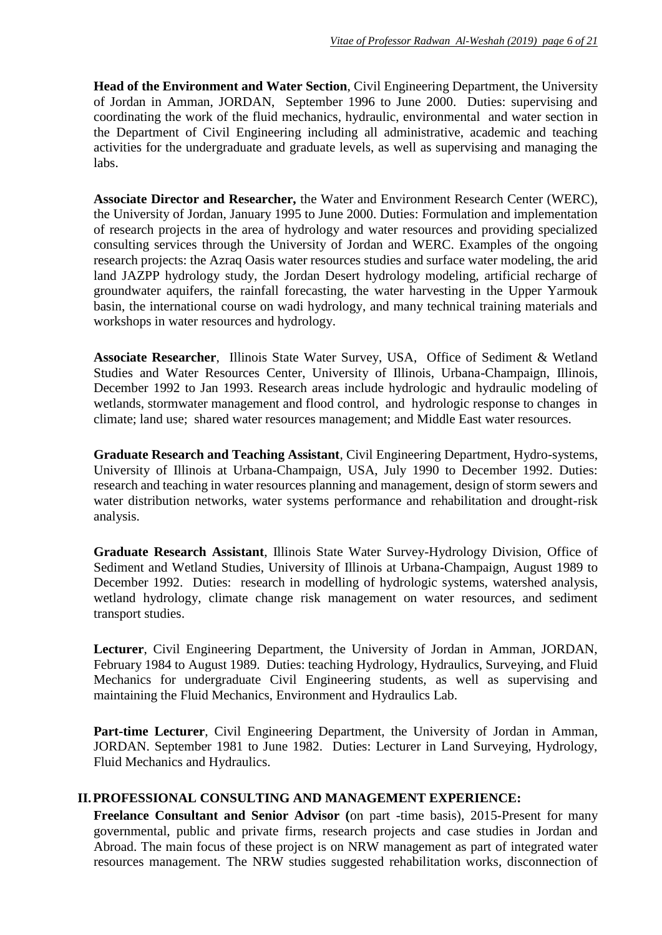**Head of the Environment and Water Section**, Civil Engineering Department, the University of Jordan in Amman, JORDAN, September 1996 to June 2000. Duties: supervising and coordinating the work of the fluid mechanics, hydraulic, environmental and water section in the Department of Civil Engineering including all administrative, academic and teaching activities for the undergraduate and graduate levels, as well as supervising and managing the labs.

**Associate Director and Researcher,** the Water and Environment Research Center (WERC), the University of Jordan, January 1995 to June 2000. Duties: Formulation and implementation of research projects in the area of hydrology and water resources and providing specialized consulting services through the University of Jordan and WERC. Examples of the ongoing research projects: the Azraq Oasis water resources studies and surface water modeling, the arid land JAZPP hydrology study, the Jordan Desert hydrology modeling, artificial recharge of groundwater aquifers, the rainfall forecasting, the water harvesting in the Upper Yarmouk basin, the international course on wadi hydrology, and many technical training materials and workshops in water resources and hydrology.

**Associate Researcher**, Illinois State Water Survey, USA, Office of Sediment & Wetland Studies and Water Resources Center, University of Illinois, Urbana-Champaign, Illinois, December 1992 to Jan 1993. Research areas include hydrologic and hydraulic modeling of wetlands, stormwater management and flood control, and hydrologic response to changes in climate; land use; shared water resources management; and Middle East water resources.

**Graduate Research and Teaching Assistant**, Civil Engineering Department, Hydro-systems, University of Illinois at Urbana-Champaign, USA, July 1990 to December 1992. Duties: research and teaching in water resources planning and management, design of storm sewers and water distribution networks, water systems performance and rehabilitation and drought-risk analysis.

**Graduate Research Assistant**, Illinois State Water Survey-Hydrology Division, Office of Sediment and Wetland Studies, University of Illinois at Urbana-Champaign, August 1989 to December 1992. Duties: research in modelling of hydrologic systems, watershed analysis, wetland hydrology, climate change risk management on water resources, and sediment transport studies.

**Lecturer**, Civil Engineering Department, the University of Jordan in Amman, JORDAN, February 1984 to August 1989. Duties: teaching Hydrology, Hydraulics, Surveying, and Fluid Mechanics for undergraduate Civil Engineering students, as well as supervising and maintaining the Fluid Mechanics, Environment and Hydraulics Lab.

**Part-time Lecturer**, Civil Engineering Department, the University of Jordan in Amman, JORDAN. September 1981 to June 1982. Duties: Lecturer in Land Surveying, Hydrology, Fluid Mechanics and Hydraulics.

#### **II.PROFESSIONAL CONSULTING AND MANAGEMENT EXPERIENCE:**

**Freelance Consultant and Senior Advisor (**on part -time basis), 2015-Present for many governmental, public and private firms, research projects and case studies in Jordan and Abroad. The main focus of these project is on NRW management as part of integrated water resources management. The NRW studies suggested rehabilitation works, disconnection of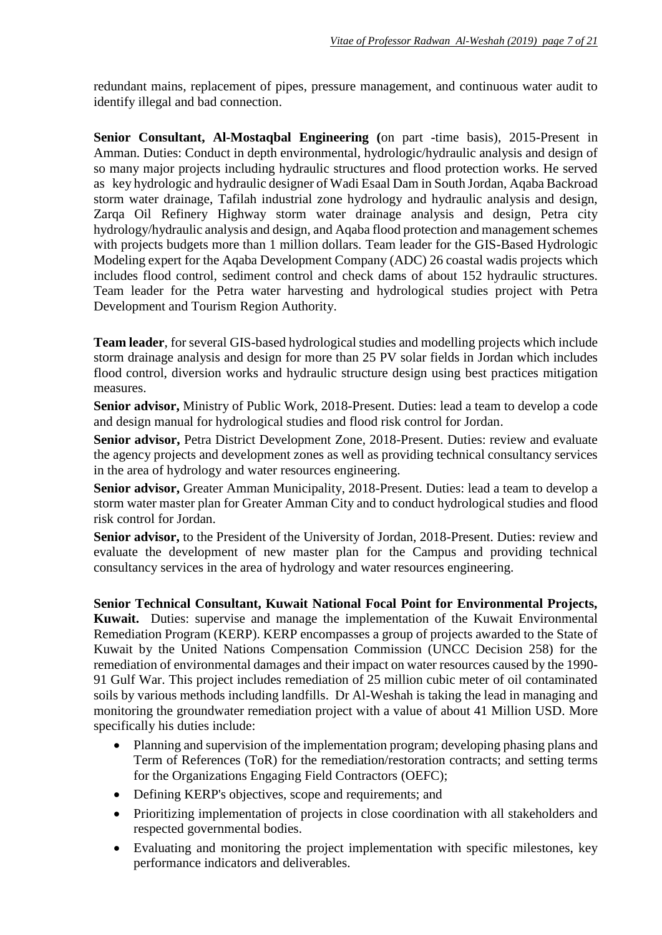redundant mains, replacement of pipes, pressure management, and continuous water audit to identify illegal and bad connection.

**Senior Consultant, Al-Mostaqbal Engineering (**on part -time basis), 2015-Present in Amman. Duties: Conduct in depth environmental, hydrologic/hydraulic analysis and design of so many major projects including hydraulic structures and flood protection works. He served as key hydrologic and hydraulic designer of Wadi Esaal Dam in South Jordan, Aqaba Backroad storm water drainage, Tafilah industrial zone hydrology and hydraulic analysis and design, Zarqa Oil Refinery Highway storm water drainage analysis and design, Petra city hydrology/hydraulic analysis and design, and Aqaba flood protection and management schemes with projects budgets more than 1 million dollars. Team leader for the GIS-Based Hydrologic Modeling expert for the Aqaba Development Company (ADC) 26 coastal wadis projects which includes flood control, sediment control and check dams of about 152 hydraulic structures. Team leader for the Petra water harvesting and hydrological studies project with Petra Development and Tourism Region Authority.

**Team leader**, for several GIS-based hydrological studies and modelling projects which include storm drainage analysis and design for more than 25 PV solar fields in Jordan which includes flood control, diversion works and hydraulic structure design using best practices mitigation measures.

**Senior advisor,** Ministry of Public Work, 2018-Present. Duties: lead a team to develop a code and design manual for hydrological studies and flood risk control for Jordan.

**Senior advisor,** Petra District Development Zone, 2018-Present. Duties: review and evaluate the agency projects and development zones as well as providing technical consultancy services in the area of hydrology and water resources engineering.

**Senior advisor,** Greater Amman Municipality, 2018-Present. Duties: lead a team to develop a storm water master plan for Greater Amman City and to conduct hydrological studies and flood risk control for Jordan.

**Senior advisor,** to the President of the University of Jordan, 2018-Present. Duties: review and evaluate the development of new master plan for the Campus and providing technical consultancy services in the area of hydrology and water resources engineering.

**Senior Technical Consultant, Kuwait National Focal Point for Environmental Projects, Kuwait.** Duties: supervise and manage the implementation of the Kuwait Environmental Remediation Program (KERP). KERP encompasses a group of projects awarded to the State of Kuwait by the United Nations Compensation Commission (UNCC Decision 258) for the remediation of environmental damages and their impact on water resources caused by the 1990- 91 Gulf War. This project includes remediation of 25 million cubic meter of oil contaminated soils by various methods including landfills. Dr Al-Weshah is taking the lead in managing and monitoring the groundwater remediation project with a value of about 41 Million USD. More specifically his duties include:

- Planning and supervision of the implementation program; developing phasing plans and Term of References (ToR) for the remediation/restoration contracts; and setting terms for the Organizations Engaging Field Contractors (OEFC);
- Defining KERP's objectives, scope and requirements; and
- Prioritizing implementation of projects in close coordination with all stakeholders and respected governmental bodies.
- Evaluating and monitoring the project implementation with specific milestones, key performance indicators and deliverables.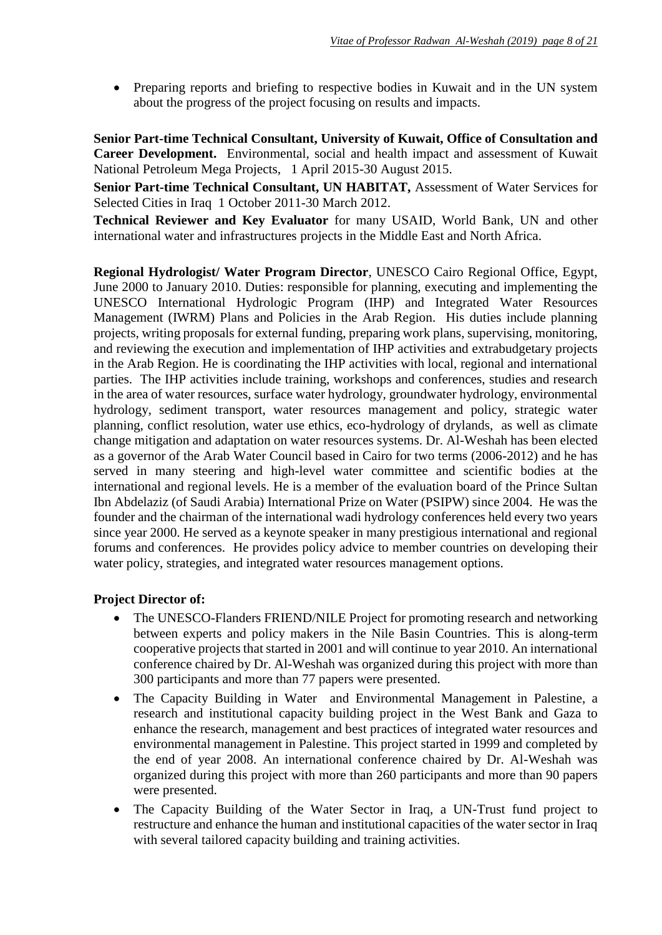• Preparing reports and briefing to respective bodies in Kuwait and in the UN system about the progress of the project focusing on results and impacts.

**Senior Part-time Technical Consultant, University of Kuwait, Office of Consultation and Career Development.** Environmental, social and health impact and assessment of Kuwait National Petroleum Mega Projects, 1 April 2015-30 August 2015.

**Senior Part-time Technical Consultant, UN HABITAT,** Assessment of Water Services for Selected Cities in Iraq 1 October 2011-30 March 2012.

**Technical Reviewer and Key Evaluator** for many USAID, World Bank, UN and other international water and infrastructures projects in the Middle East and North Africa.

**Regional Hydrologist/ Water Program Director**, UNESCO Cairo Regional Office, Egypt, June 2000 to January 2010. Duties: responsible for planning, executing and implementing the UNESCO International Hydrologic Program (IHP) and Integrated Water Resources Management (IWRM) Plans and Policies in the Arab Region. His duties include planning projects, writing proposals for external funding, preparing work plans, supervising, monitoring, and reviewing the execution and implementation of IHP activities and extrabudgetary projects in the Arab Region. He is coordinating the IHP activities with local, regional and international parties. The IHP activities include training, workshops and conferences, studies and research in the area of water resources, surface water hydrology, groundwater hydrology, environmental hydrology, sediment transport, water resources management and policy, strategic water planning, conflict resolution, water use ethics, eco-hydrology of drylands, as well as climate change mitigation and adaptation on water resources systems. Dr. Al-Weshah has been elected as a governor of the Arab Water Council based in Cairo for two terms (2006-2012) and he has served in many steering and high-level water committee and scientific bodies at the international and regional levels. He is a member of the evaluation board of the Prince Sultan Ibn Abdelaziz (of Saudi Arabia) International Prize on Water (PSIPW) since 2004. He was the founder and the chairman of the international wadi hydrology conferences held every two years since year 2000. He served as a keynote speaker in many prestigious international and regional forums and conferences. He provides policy advice to member countries on developing their water policy, strategies, and integrated water resources management options.

#### **Project Director of:**

- The UNESCO-Flanders FRIEND/NILE Project for promoting research and networking between experts and policy makers in the Nile Basin Countries. This is along-term cooperative projects that started in 2001 and will continue to year 2010. An international conference chaired by Dr. Al-Weshah was organized during this project with more than 300 participants and more than 77 papers were presented.
- The Capacity Building in Water and Environmental Management in Palestine, a research and institutional capacity building project in the West Bank and Gaza to enhance the research, management and best practices of integrated water resources and environmental management in Palestine. This project started in 1999 and completed by the end of year 2008. An international conference chaired by Dr. Al-Weshah was organized during this project with more than 260 participants and more than 90 papers were presented.
- The Capacity Building of the Water Sector in Iraq, a UN-Trust fund project to restructure and enhance the human and institutional capacities of the water sector in Iraq with several tailored capacity building and training activities.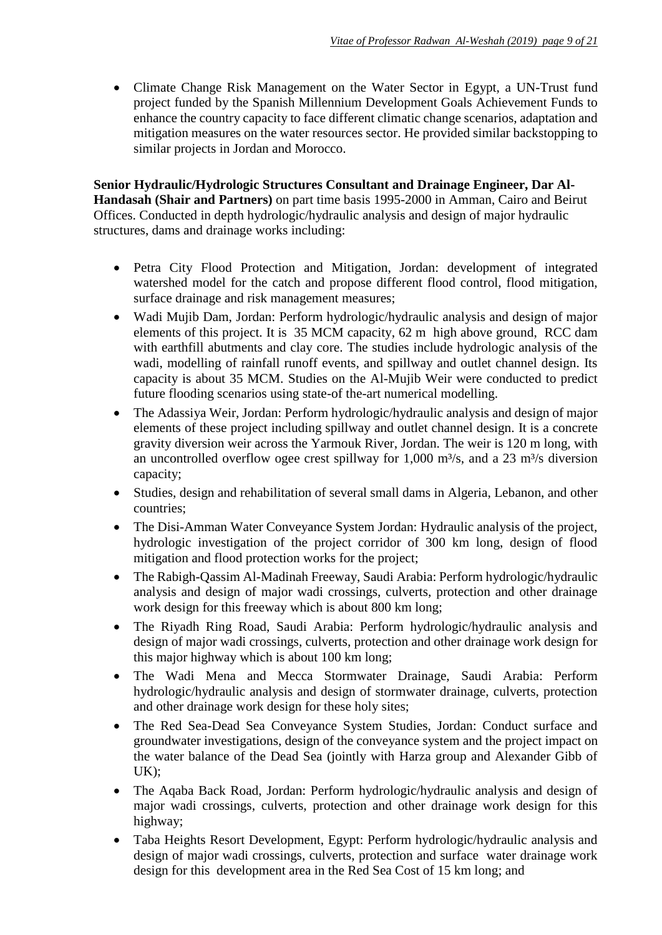• Climate Change Risk Management on the Water Sector in Egypt, a UN-Trust fund project funded by the Spanish Millennium Development Goals Achievement Funds to enhance the country capacity to face different climatic change scenarios, adaptation and mitigation measures on the water resources sector. He provided similar backstopping to similar projects in Jordan and Morocco.

**Senior Hydraulic/Hydrologic Structures Consultant and Drainage Engineer, Dar Al-Handasah (Shair and Partners)** on part time basis 1995-2000 in Amman, Cairo and Beirut Offices. Conducted in depth hydrologic/hydraulic analysis and design of major hydraulic structures, dams and drainage works including:

- Petra City Flood Protection and Mitigation, Jordan: development of integrated watershed model for the catch and propose different flood control, flood mitigation, surface drainage and risk management measures;
- Wadi Mujib Dam, Jordan: Perform hydrologic/hydraulic analysis and design of major elements of this project. It is 35 MCM capacity, 62 m high above ground, RCC dam with earthfill abutments and clay core. The studies include hydrologic analysis of the wadi, modelling of rainfall runoff events, and spillway and outlet channel design. Its capacity is about 35 MCM. Studies on the Al-Mujib Weir were conducted to predict future flooding scenarios using state-of the-art numerical modelling.
- The Adassiya Weir, Jordan: Perform hydrologic/hydraulic analysis and design of major elements of these project including spillway and outlet channel design. It is a concrete gravity diversion weir across the Yarmouk River, Jordan. The weir is 120 m long, with an uncontrolled overflow ogee crest spillway for  $1,000$  m<sup>3</sup>/s, and a 23 m<sup>3</sup>/s diversion capacity;
- Studies, design and rehabilitation of several small dams in Algeria, Lebanon, and other countries;
- The Disi-Amman Water Conveyance System Jordan: Hydraulic analysis of the project, hydrologic investigation of the project corridor of 300 km long, design of flood mitigation and flood protection works for the project;
- The Rabigh-Qassim Al-Madinah Freeway, Saudi Arabia: Perform hydrologic/hydraulic analysis and design of major wadi crossings, culverts, protection and other drainage work design for this freeway which is about 800 km long;
- The Riyadh Ring Road, Saudi Arabia: Perform hydrologic/hydraulic analysis and design of major wadi crossings, culverts, protection and other drainage work design for this major highway which is about 100 km long;
- The Wadi Mena and Mecca Stormwater Drainage, Saudi Arabia: Perform hydrologic/hydraulic analysis and design of stormwater drainage, culverts, protection and other drainage work design for these holy sites;
- The Red Sea-Dead Sea Conveyance System Studies, Jordan: Conduct surface and groundwater investigations, design of the conveyance system and the project impact on the water balance of the Dead Sea (jointly with Harza group and Alexander Gibb of UK);
- The Aqaba Back Road, Jordan: Perform hydrologic/hydraulic analysis and design of major wadi crossings, culverts, protection and other drainage work design for this highway;
- Taba Heights Resort Development, Egypt: Perform hydrologic/hydraulic analysis and design of major wadi crossings, culverts, protection and surface water drainage work design for this development area in the Red Sea Cost of 15 km long; and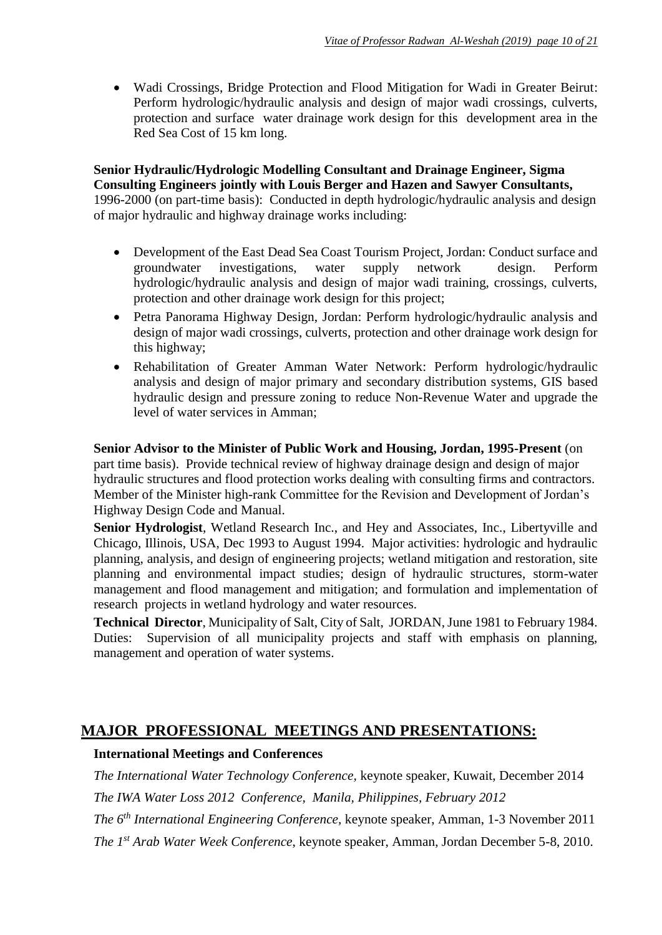Wadi Crossings, Bridge Protection and Flood Mitigation for Wadi in Greater Beirut: Perform hydrologic/hydraulic analysis and design of major wadi crossings, culverts, protection and surface water drainage work design for this development area in the Red Sea Cost of 15 km long.

**Senior Hydraulic/Hydrologic Modelling Consultant and Drainage Engineer, Sigma Consulting Engineers jointly with Louis Berger and Hazen and Sawyer Consultants,** 1996-2000 (on part-time basis): Conducted in depth hydrologic/hydraulic analysis and design of major hydraulic and highway drainage works including:

- Development of the East Dead Sea Coast Tourism Project, Jordan: Conduct surface and groundwater investigations, water supply network design. Perform hydrologic/hydraulic analysis and design of major wadi training, crossings, culverts, protection and other drainage work design for this project;
- Petra Panorama Highway Design, Jordan: Perform hydrologic/hydraulic analysis and design of major wadi crossings, culverts, protection and other drainage work design for this highway;
- Rehabilitation of Greater Amman Water Network: Perform hydrologic/hydraulic analysis and design of major primary and secondary distribution systems, GIS based hydraulic design and pressure zoning to reduce Non-Revenue Water and upgrade the level of water services in Amman;

**Senior Advisor to the Minister of Public Work and Housing, Jordan, 1995-Present** (on part time basis). Provide technical review of highway drainage design and design of major hydraulic structures and flood protection works dealing with consulting firms and contractors. Member of the Minister high-rank Committee for the Revision and Development of Jordan's Highway Design Code and Manual.

**Senior Hydrologist**, Wetland Research Inc., and Hey and Associates, Inc., Libertyville and Chicago, Illinois, USA, Dec 1993 to August 1994. Major activities: hydrologic and hydraulic planning, analysis, and design of engineering projects; wetland mitigation and restoration, site planning and environmental impact studies; design of hydraulic structures, storm-water management and flood management and mitigation; and formulation and implementation of research projects in wetland hydrology and water resources.

**Technical Director**, Municipality of Salt, City of Salt, JORDAN, June 1981 to February 1984. Duties: Supervision of all municipality projects and staff with emphasis on planning, management and operation of water systems.

### **MAJOR PROFESSIONAL MEETINGS AND PRESENTATIONS:**

#### **International Meetings and Conferences**

*The International Water Technology Conference,* keynote speaker, Kuwait, December 2014 *The IWA Water Loss 2012 Conference, Manila, Philippines, February 2012*

*The 6th International Engineering Conference,* keynote speaker, Amman, 1-3 November 2011

*The 1st Arab Water Week Conference*, keynote speaker, Amman, Jordan December 5-8, 2010.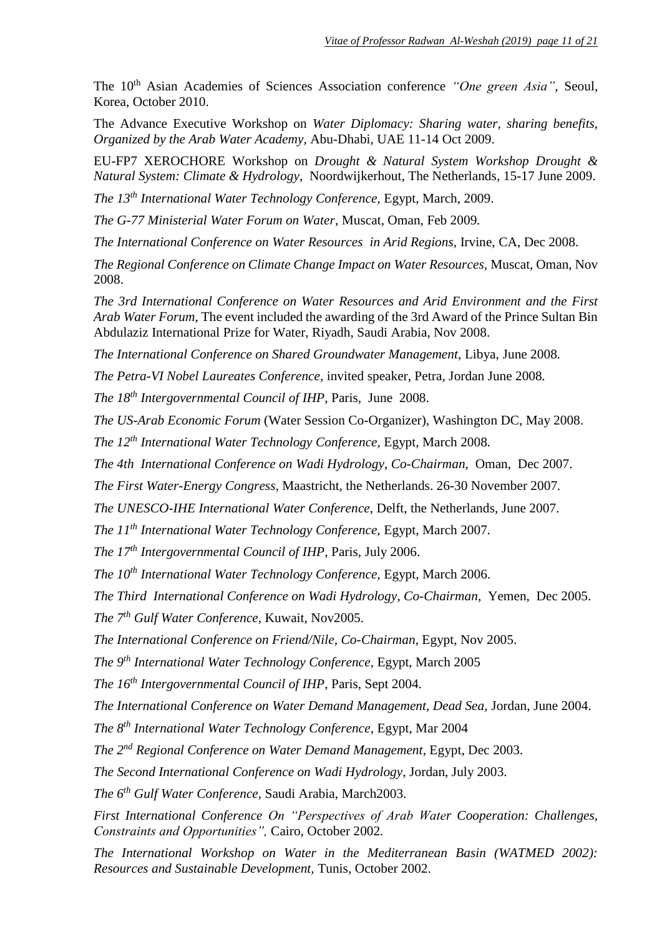The 10<sup>th</sup> Asian Academies of Sciences Association conference *"One green Asia"*, Seoul, Korea, October 2010.

The Advance Executive Workshop on *Water Diplomacy: Sharing water, sharing benefits, Organized by the Arab Water Academy*, Abu-Dhabi, UAE 11-14 Oct 2009.

EU-FP7 XEROCHORE Workshop on *Drought & Natural System Workshop Drought & Natural System: Climate & Hydrology*, Noordwijkerhout*,* The Netherlands*,* 15-17 June 2009.

*The 13th International Water Technology Conference,* Egypt, March, 2009.

*The G-77 Ministerial Water Forum on Water*, Muscat, Oman, Feb 2009*.*

*The International Conference on Water Resources in Arid Regions, Irvine, CA, Dec 2008.* 

*The Regional Conference on Climate Change Impact on Water Resources,* Muscat, Oman, Nov 2008.

*The 3rd International Conference on Water Resources and Arid Environment and the First Arab Water Forum*, The event included the awarding of the 3rd Award of the Prince Sultan Bin Abdulaziz International Prize for Water, Riyadh, Saudi Arabia, Nov 2008.

*The International Conference on Shared Groundwater Management*, Libya, June 2008*.*

*The Petra-VI Nobel Laureates Conference*, invited speaker, Petra*,* Jordan June 2008*.*

*The 18th Intergovernmental Council of IHP*, Paris, June 2008.

*The US-Arab Economic Forum* (Water Session Co-Organizer), Washington DC, May 2008.

*The 12th International Water Technology Conference,* Egypt, March 2008*.*

*The 4th International Conference on Wadi Hydrology*, *Co-Chairman*, Oman, Dec 2007.

*The First Water-Energy Congress,* Maastricht, the Netherlands. 26-30 November 2007*.* 

*The UNESCO-IHE International Water Conference*, Delft, the Netherlands, June 2007.

*The 11th International Water Technology Conference,* Egypt, March 2007*.*

*The 17th Intergovernmental Council of IHP*, Paris, July 2006.

*The 10th International Water Technology Conference,* Egypt, March 2006.

*The Third International Conference on Wadi Hydrology*, *Co-Chairman*, Yemen, Dec 2005.

*The 7th Gulf Water Conference,* Kuwait, Nov2005.

*The International Conference on Friend/Nile, Co-Chairman*, Egypt, Nov 2005.

*The 9th International Water Technology Conference,* Egypt, March 2005

*The 16th Intergovernmental Council of IHP*, Paris, Sept 2004.

*The International Conference on Water Demand Management, Dead Sea,* Jordan, June 2004.

*The 8th International Water Technology Conference,* Egypt, Mar 2004

*The 2nd Regional Conference on Water Demand Management*, Egypt, Dec 2003.

*The Second International Conference on Wadi Hydrology*, Jordan, July 2003.

*The 6th Gulf Water Conference,* Saudi Arabia, March2003.

*First International Conference On "Perspectives of Arab Water Cooperation: Challenges, Constraints and Opportunities",* Cairo, October 2002*.*

*The International Workshop on Water in the Mediterranean Basin (WATMED 2002): Resources and Sustainable Development,* Tunis, October 2002.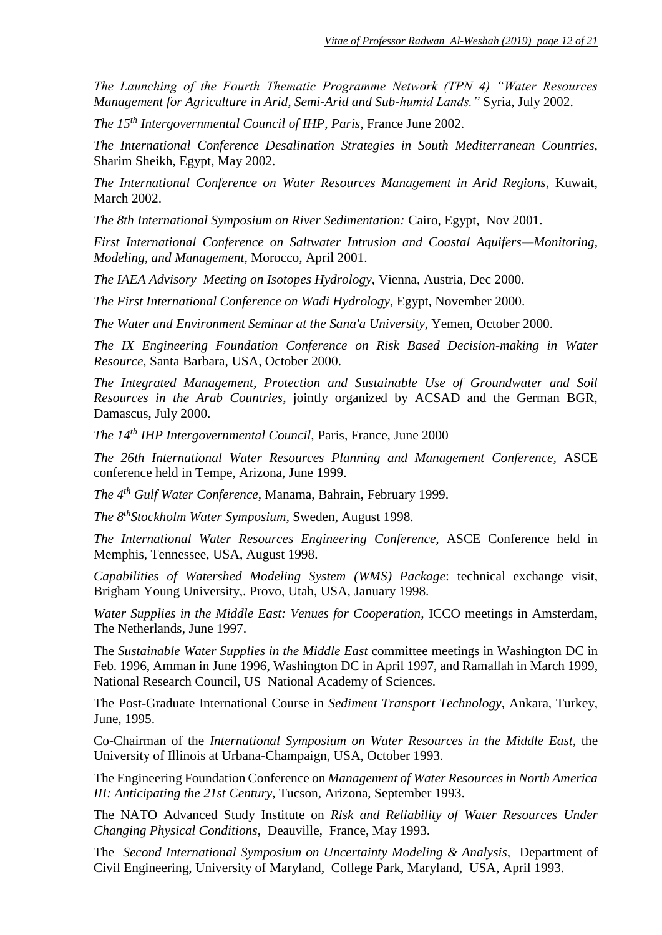*The Launching of the Fourth Thematic Programme Network (TPN 4) "Water Resources Management for Agriculture in Arid, Semi-Arid and Sub-humid Lands."* Syria, July 2002.

*The 15th Intergovernmental Council of IHP, Paris*, France June 2002.

*The International Conference Desalination Strategies in South Mediterranean Countries,*  Sharim Sheikh, Egypt, May 2002.

*The International Conference on Water Resources Management in Arid Regions*, Kuwait*,*  March 2002.

*The 8th International Symposium on River Sedimentation:* Cairo, Egypt, Nov 2001.

*First International Conference on Saltwater Intrusion and Coastal Aquifers—Monitoring, Modeling, and Management,* Morocco, April 2001.

*The IAEA Advisory Meeting on Isotopes Hydrology*, Vienna, Austria, Dec 2000.

*The First International Conference on Wadi Hydrology*, Egypt, November 2000.

*The Water and Environment Seminar at the Sana'a University*, Yemen, October 2000.

*The IX Engineering Foundation Conference on Risk Based Decision-making in Water Resource,* Santa Barbara, USA, October 2000.

*The Integrated Management, Protection and Sustainable Use of Groundwater and Soil Resources in the Arab Countries*, jointly organized by ACSAD and the German BGR, Damascus, July 2000.

*The 14th IHP Intergovernmental Council,* Paris, France, June 2000

*The 26th International Water Resources Planning and Management Conference,* ASCE conference held in Tempe, Arizona, June 1999.

*The 4th Gulf Water Conference,* Manama, Bahrain, February 1999.

*The 8thStockholm Water Symposium,* Sweden, August 1998.

*The International Water Resources Engineering Conference,* ASCE Conference held in Memphis, Tennessee, USA, August 1998.

*Capabilities of Watershed Modeling System (WMS) Package*: technical exchange visit, Brigham Young University,. Provo, Utah, USA, January 1998.

*Water Supplies in the Middle East: Venues for Cooperation,* ICCO meetings in Amsterdam, The Netherlands, June 1997.

The *Sustainable Water Supplies in the Middle East* committee meetings in Washington DC in Feb. 1996, Amman in June 1996, Washington DC in April 1997, and Ramallah in March 1999, National Research Council, US National Academy of Sciences.

The Post-Graduate International Course in *Sediment Transport Technology*, Ankara, Turkey, June, 1995.

Co-Chairman of the *International Symposium on Water Resources in the Middle East,* the University of Illinois at Urbana-Champaign, USA, October 1993.

The Engineering Foundation Conference on *Management of Water Resources in North America III: Anticipating the 21st Century*, Tucson, Arizona, September 1993.

The NATO Advanced Study Institute on *Risk and Reliability of Water Resources Under Changing Physical Conditions*, Deauville, France, May 1993.

The Second International Symposium on Uncertainty Modeling & Analysis, Department of Civil Engineering, University of Maryland, College Park, Maryland, USA, April 1993.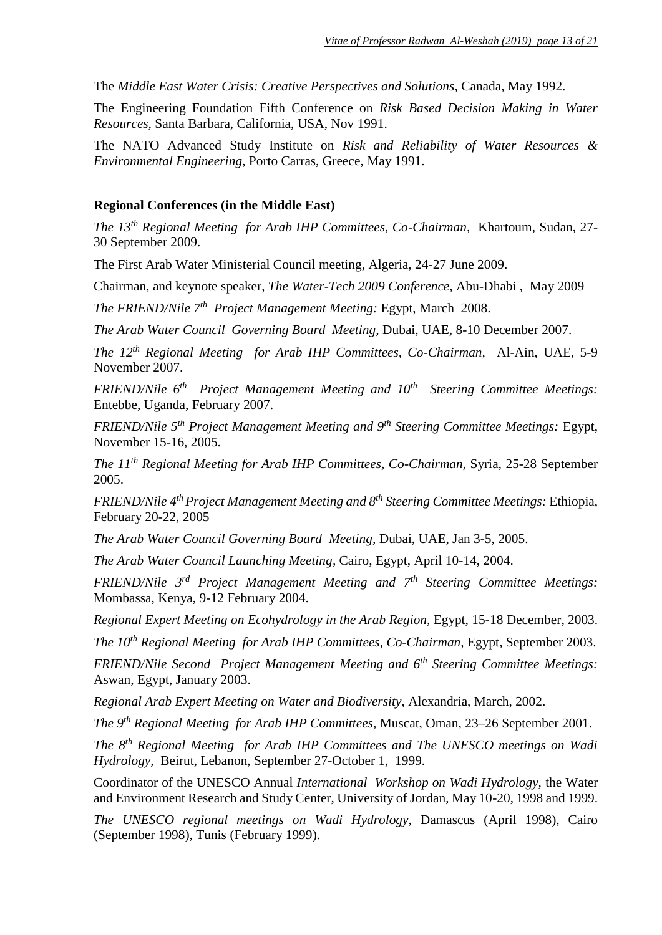The *Middle East Water Crisis: Creative Perspectives and Solutions*, Canada, May 1992.

The Engineering Foundation Fifth Conference on *Risk Based Decision Making in Water Resources,* Santa Barbara, California, USA, Nov 1991.

The NATO Advanced Study Institute on *Risk and Reliability of Water Resources & Environmental Engineering*, Porto Carras, Greece, May 1991.

#### **Regional Conferences (in the Middle East)**

*The 13th Regional Meeting for Arab IHP Committees, Co-Chairman,* Khartoum, Sudan, 27- 30 September 2009.

The First Arab Water Ministerial Council meeting, Algeria, 24-27 June 2009.

Chairman*,* and keynote speaker, *The Water-Tech 2009 Conference,* Abu-Dhabi , May 2009

*The FRIEND/Nile 7th Project Management Meeting:* Egypt, March 2008.

*The Arab Water Council Governing Board Meeting,* Dubai, UAE, 8-10 December 2007.

*The 12th Regional Meeting for Arab IHP Committees, Co-Chairman,* Al-Ain, UAE, 5-9 November 2007.

*FRIEND/Nile 6th Project Management Meeting and 10th Steering Committee Meetings:*  Entebbe, Uganda, February 2007.

*FRIEND/Nile 5th Project Management Meeting and 9th Steering Committee Meetings:* Egypt, November 15-16, 2005.

*The 11th Regional Meeting for Arab IHP Committees, Co-Chairman,* Syria, 25-28 September 2005.

*FRIEND/Nile 4th Project Management Meeting and 8th Steering Committee Meetings:* Ethiopia, February 20-22, 2005

*The Arab Water Council Governing Board Meeting,* Dubai, UAE, Jan 3-5, 2005.

*The Arab Water Council Launching Meeting,* Cairo, Egypt, April 10-14, 2004.

*FRIEND/Nile 3rd Project Management Meeting and 7th Steering Committee Meetings:*  Mombassa, Kenya, 9-12 February 2004.

*Regional Expert Meeting on Ecohydrology in the Arab Region,* Egypt, 15-18 December, 2003.

*The 10th Regional Meeting for Arab IHP Committees, Co-Chairman,* Egypt, September 2003.

*FRIEND/Nile Second Project Management Meeting and 6th Steering Committee Meetings:*  Aswan, Egypt, January 2003.

*Regional Arab Expert Meeting on Water and Biodiversity,* Alexandria, March, 2002.

*The 9th Regional Meeting for Arab IHP Committees,* Muscat, Oman, 23–26 September 2001.

*The 8th Regional Meeting for Arab IHP Committees and The UNESCO meetings on Wadi Hydrology,* Beirut, Lebanon, September 27-October 1, 1999.

Coordinator of the UNESCO Annual *International Workshop on Wadi Hydrology,* the Water and Environment Research and Study Center, University of Jordan, May 10-20, 1998 and 1999.

*The UNESCO regional meetings on Wadi Hydrology,* Damascus (April 1998), Cairo (September 1998), Tunis (February 1999).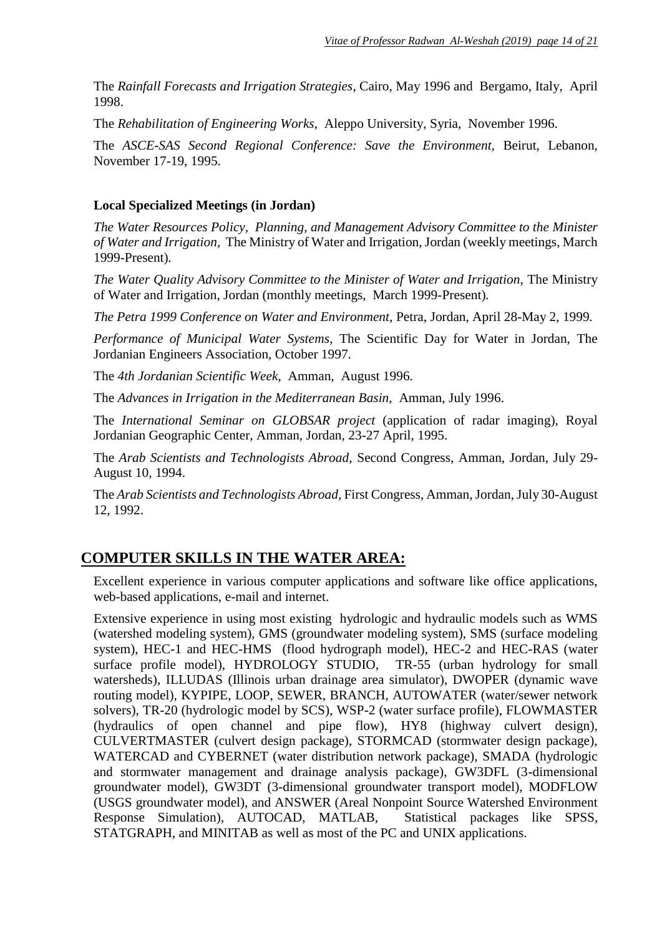The *Rainfall Forecasts and Irrigation Strategies*, Cairo, May 1996 and Bergamo, Italy, April 1998.

The *Rehabilitation of Engineering Works*, Aleppo University, Syria, November 1996.

The *ASCE-SAS Second Regional Conference: Save the Environment,* Beirut, Lebanon, November 17-19, 1995.

#### **Local Specialized Meetings (in Jordan)**

*The Water Resources Policy, Planning, and Management Advisory Committee to the Minister of Water and Irrigation*, The Ministry of Water and Irrigation, Jordan (weekly meetings, March 1999-Present)*.*

*The Water Quality Advisory Committee to the Minister of Water and Irrigation, The Ministry* of Water and Irrigation, Jordan (monthly meetings, March 1999-Present)*.*

*The Petra 1999 Conference on Water and Environment,* Petra, Jordan, April 28-May 2, 1999*.*

*Performance of Municipal Water Systems*, The Scientific Day for Water in Jordan, The Jordanian Engineers Association, October 1997.

The *4th Jordanian Scientific Week*, Amman, August 1996.

The *Advances in Irrigation in the Mediterranean Basin*, Amman, July 1996.

The *International Seminar on GLOBSAR project* (application of radar imaging), Royal Jordanian Geographic Center, Amman, Jordan, 23-27 April, 1995.

The *Arab Scientists and Technologists Abroad,* Second Congress, Amman, Jordan, July 29- August 10, 1994.

The *Arab Scientists and Technologists Abroad,* First Congress, Amman, Jordan, July 30-August 12, 1992.

### **COMPUTER SKILLS IN THE WATER AREA:**

Excellent experience in various computer applications and software like office applications, web-based applications, e-mail and internet.

Extensive experience in using most existing hydrologic and hydraulic models such as WMS (watershed modeling system), GMS (groundwater modeling system), SMS (surface modeling system), HEC-1 and HEC-HMS (flood hydrograph model), HEC-2 and HEC-RAS (water surface profile model), HYDROLOGY STUDIO, TR-55 (urban hydrology for small watersheds), ILLUDAS (Illinois urban drainage area simulator), DWOPER (dynamic wave routing model), KYPIPE, LOOP, SEWER, BRANCH, AUTOWATER (water/sewer network solvers), TR-20 (hydrologic model by SCS), WSP-2 (water surface profile), FLOWMASTER (hydraulics of open channel and pipe flow), HY8 (highway culvert design), CULVERTMASTER (culvert design package), STORMCAD (stormwater design package), WATERCAD and CYBERNET (water distribution network package), SMADA (hydrologic and stormwater management and drainage analysis package), GW3DFL (3-dimensional groundwater model), GW3DT (3-dimensional groundwater transport model), MODFLOW (USGS groundwater model), and ANSWER (Areal Nonpoint Source Watershed Environment Response Simulation), AUTOCAD, MATLAB, Statistical packages like SPSS, STATGRAPH, and MINITAB as well as most of the PC and UNIX applications.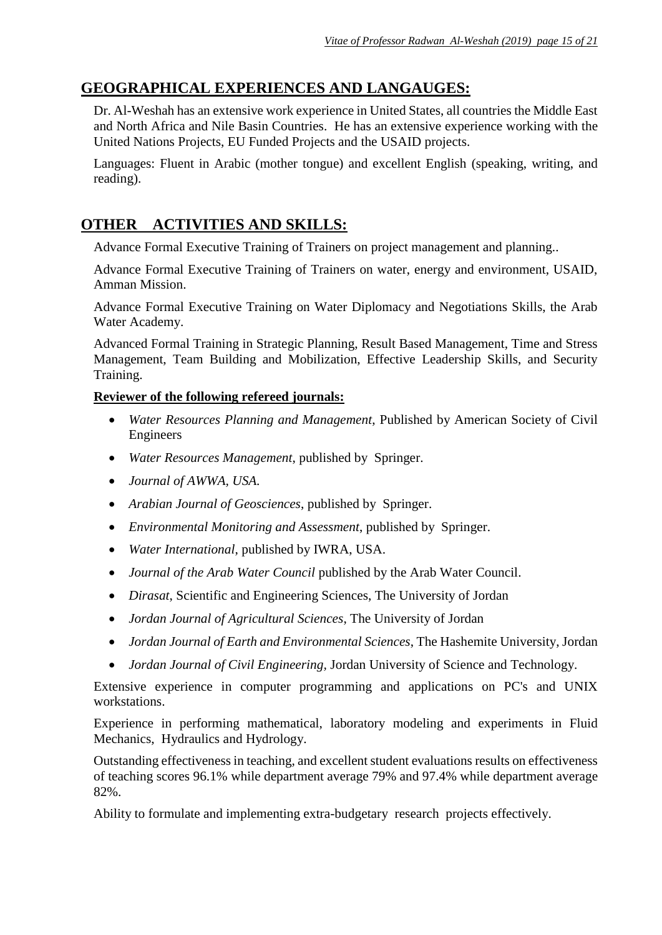# **GEOGRAPHICAL EXPERIENCES AND LANGAUGES:**

Dr. Al-Weshah has an extensive work experience in United States, all countries the Middle East and North Africa and Nile Basin Countries. He has an extensive experience working with the United Nations Projects, EU Funded Projects and the USAID projects.

Languages: Fluent in Arabic (mother tongue) and excellent English (speaking, writing, and reading).

# **OTHER ACTIVITIES AND SKILLS:**

Advance Formal Executive Training of Trainers on project management and planning..

Advance Formal Executive Training of Trainers on water, energy and environment, USAID, Amman Mission.

Advance Formal Executive Training on Water Diplomacy and Negotiations Skills, the Arab Water Academy.

Advanced Formal Training in Strategic Planning, Result Based Management, Time and Stress Management, Team Building and Mobilization, Effective Leadership Skills, and Security Training.

#### **Reviewer of the following refereed journals:**

- *Water Resources Planning and Management*, Published by American Society of Civil Engineers
- *Water Resources Management*, published by Springer.
- *Journal of AWWA, USA.*
- *Arabian Journal of Geosciences*, published by Springer.
- *Environmental Monitoring and Assessment*, published by Springer.
- *Water International*, published by IWRA, USA.
- *Journal of the Arab Water Council* published by the Arab Water Council.
- *Dirasat*, Scientific and Engineering Sciences, The University of Jordan
- *Jordan Journal of Agricultural Sciences*, The University of Jordan
- *Jordan Journal of Earth and Environmental Sciences*, The Hashemite University, Jordan
- *Jordan Journal of Civil Engineering,* Jordan University of Science and Technology.

Extensive experience in computer programming and applications on PC's and UNIX workstations.

Experience in performing mathematical, laboratory modeling and experiments in Fluid Mechanics, Hydraulics and Hydrology.

Outstanding effectiveness in teaching, and excellent student evaluations results on effectiveness of teaching scores 96.1% while department average 79% and 97.4% while department average 82%.

Ability to formulate and implementing extra-budgetary research projects effectively.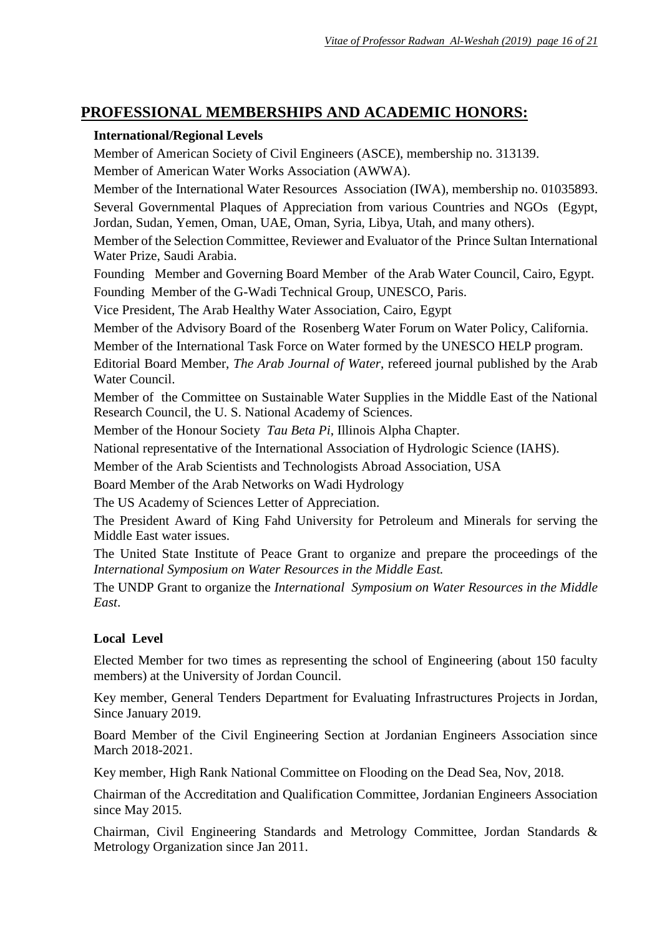# **PROFESSIONAL MEMBERSHIPS AND ACADEMIC HONORS:**

#### **International/Regional Levels**

Member of American Society of Civil Engineers (ASCE), membership no. 313139. Member of American Water Works Association (AWWA).

Member of the International Water Resources Association (IWA), membership no. 01035893. Several Governmental Plaques of Appreciation from various Countries and NGOs (Egypt, Jordan, Sudan, Yemen, Oman, UAE, Oman, Syria, Libya, Utah, and many others).

Member of the Selection Committee, Reviewer and Evaluator of the Prince Sultan International Water Prize, Saudi Arabia.

Founding Member and Governing Board Member of the Arab Water Council, Cairo, Egypt. Founding Member of the G-Wadi Technical Group, UNESCO, Paris.

Vice President, The Arab Healthy Water Association, Cairo, Egypt

Member of the Advisory Board of the Rosenberg Water Forum on Water Policy, California.

Member of the International Task Force on Water formed by the UNESCO HELP program.

Editorial Board Member, *The Arab Journal of Water*, refereed journal published by the Arab Water Council.

Member of the Committee on Sustainable Water Supplies in the Middle East of the National Research Council, the U. S. National Academy of Sciences.

Member of the Honour Society *Tau Beta Pi*, Illinois Alpha Chapter.

National representative of the International Association of Hydrologic Science (IAHS).

Member of the Arab Scientists and Technologists Abroad Association, USA

Board Member of the Arab Networks on Wadi Hydrology

The US Academy of Sciences Letter of Appreciation.

The President Award of King Fahd University for Petroleum and Minerals for serving the Middle East water issues.

The United State Institute of Peace Grant to organize and prepare the proceedings of the *International Symposium on Water Resources in the Middle East.*

The UNDP Grant to organize the *International Symposium on Water Resources in the Middle East*.

#### **Local Level**

Elected Member for two times as representing the school of Engineering (about 150 faculty members) at the University of Jordan Council.

Key member, General Tenders Department for Evaluating Infrastructures Projects in Jordan, Since January 2019.

Board Member of the Civil Engineering Section at Jordanian Engineers Association since March 2018-2021.

Key member, High Rank National Committee on Flooding on the Dead Sea, Nov, 2018.

Chairman of the Accreditation and Qualification Committee, Jordanian Engineers Association since May 2015.

Chairman, Civil Engineering Standards and Metrology Committee, Jordan Standards & Metrology Organization since Jan 2011.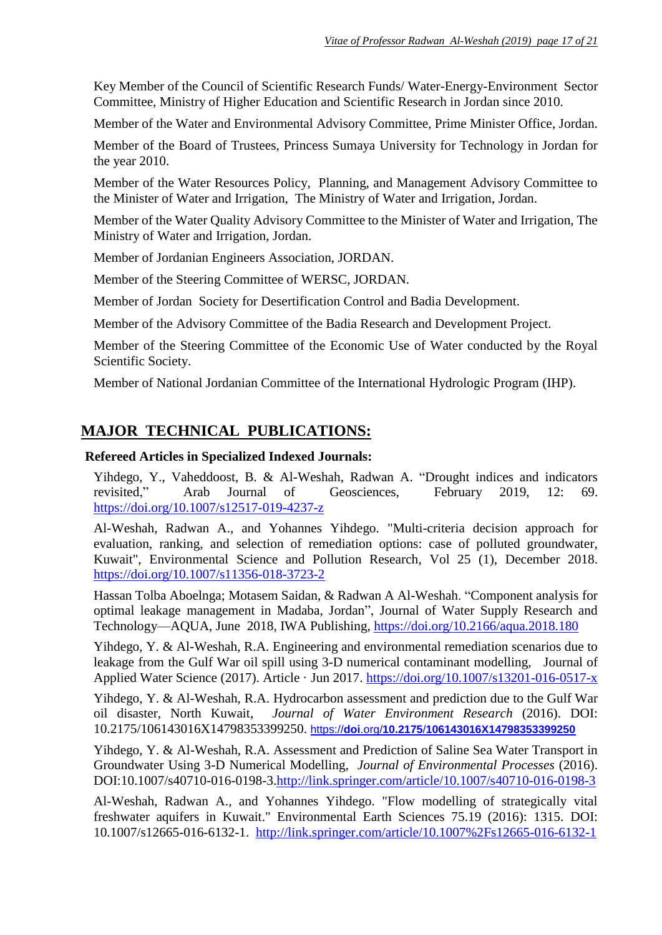Key Member of the Council of Scientific Research Funds/ Water-Energy-Environment Sector Committee, Ministry of Higher Education and Scientific Research in Jordan since 2010.

Member of the Water and Environmental Advisory Committee, Prime Minister Office, Jordan.

Member of the Board of Trustees, Princess Sumaya University for Technology in Jordan for the year 2010.

Member of the Water Resources Policy, Planning, and Management Advisory Committee to the Minister of Water and Irrigation, The Ministry of Water and Irrigation, Jordan.

Member of the Water Quality Advisory Committee to the Minister of Water and Irrigation, The Ministry of Water and Irrigation, Jordan.

Member of Jordanian Engineers Association, JORDAN.

Member of the Steering Committee of WERSC, JORDAN.

Member of Jordan Society for Desertification Control and Badia Development.

Member of the Advisory Committee of the Badia Research and Development Project.

Member of the Steering Committee of the Economic Use of Water conducted by the Royal Scientific Society.

Member of National Jordanian Committee of the International Hydrologic Program (IHP).

## **MAJOR TECHNICAL PUBLICATIONS:**

#### **Refereed Articles in Specialized Indexed Journals:**

Yihdego, Y., Vaheddoost, B. & Al-Weshah, Radwan A. "Drought indices and indicators revisited," Arab Journal of Geosciences, February 2019, 12: 69. <https://doi.org/10.1007/s12517-019-4237-z>

Al-Weshah, Radwan A., and Yohannes Yihdego. "Multi-criteria decision approach for evaluation, ranking, and selection of remediation options: case of polluted groundwater, Kuwait", Environmental Science and Pollution Research, Vol 25 (1), December 2018. <https://doi.org/10.1007/s11356-018-3723-2>

Hassan Tolba Aboelnga; Motasem Saidan, & Radwan A Al-Weshah. "Component analysis for optimal leakage management in Madaba, Jordan", Journal of Water Supply Research and Technology—AQUA, June 2018, IWA Publishing,<https://doi.org/10.2166/aqua.2018.180>

Yihdego, Y. & Al-Weshah, R.A. Engineering and environmental remediation scenarios due to leakage from the Gulf War oil spill using 3-D numerical contaminant modelling, Journal of Applied Water Science (2017). Article · Jun 2017.<https://doi.org/10.1007/s13201-016-0517-x>

Yihdego, Y. & Al-Weshah, R.A. Hydrocarbon assessment and prediction due to the Gulf War oil disaster, North Kuwait, *Journal of Water Environment Research* (2016). DOI: 10.2175/106143016X14798353399250. https://**doi**.org/**10.2175**/**[106143016X14798353399250](https://doi.org/10.2175/106143016X14798353399250)**

Yihdego, Y. & Al-Weshah, R.A. Assessment and Prediction of Saline Sea Water Transport in Groundwater Using 3-D Numerical Modelling, *Journal of Environmental Processes* (2016). DOI:10.1007/s40710-016-0198-3[.http://link.springer.com/article/10.1007/s40710-016-0198-3](http://link.springer.com/article/10.1007/s40710-016-0198-3)

Al-Weshah, Radwan A., and Yohannes Yihdego. "Flow modelling of strategically vital freshwater aquifers in Kuwait." Environmental Earth Sciences 75.19 (2016): 1315. DOI: 10.1007/s12665-016-6132-1. <http://link.springer.com/article/10.1007%2Fs12665-016-6132-1>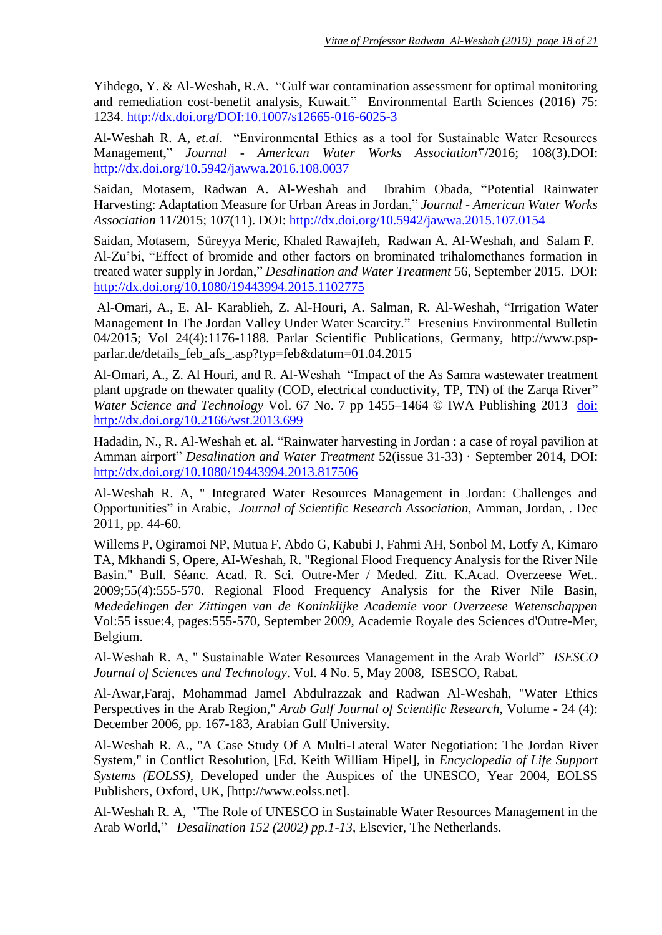Yihdego, Y. & Al-Weshah, R.A. "Gulf war contamination assessment for optimal monitoring and remediation cost-benefit analysis, Kuwait." Environmental Earth Sciences (2016) 75: 1234.<http://dx.doi.org/DOI:10.1007/s12665-016-6025-3>

Al-Weshah R. A, *et.al*. "Environmental Ethics as a tool for Sustainable Water Resources Management," *Journal - American Water Works Association*3/2016; 108(3).DOI: <http://dx.doi.org/10.5942/jawwa.2016.108.0037>

Saidan, Motasem, Radwan A. Al-Weshah and Ibrahim Obada, "Potential Rainwater Harvesting: Adaptation Measure for Urban Areas in Jordan," *Journal - American Water Works Association* 11/2015; 107(11). DOI: <http://dx.doi.org/10.5942/jawwa.2015.107.0154>

Saidan, Motasem, Süreyya Meric, Khaled Rawajfeh, Radwan A. Al-Weshah, and Salam F. Al-Zu'bi, "Effect of bromide and other factors on brominated trihalomethanes formation in treated water supply in Jordan," *Desalination and Water Treatment* 56, September 2015. DOI: <http://dx.doi.org/10.1080/19443994.2015.1102775>

Al-Omari, A., E. Al- Karablieh, Z. Al-Houri, A. Salman, R. Al-Weshah, "Irrigation Water Management In The Jordan Valley Under Water Scarcity." Fresenius Environmental Bulletin 04/2015; Vol 24(4):1176-1188. Parlar Scientific Publications, Germany, [http://www.psp](http://www.psp-parlar.de/details_feb_afs_.asp?typ=feb&datum=01.04.2015)[parlar.de/details\\_feb\\_afs\\_.asp?typ=feb&datum=01.04.2015](http://www.psp-parlar.de/details_feb_afs_.asp?typ=feb&datum=01.04.2015)

Al-Omari, A., Z. Al Houri, and R. Al-Weshah "Impact of the As Samra wastewater treatment plant upgrade on thewater quality (COD, electrical conductivity, TP, TN) of the Zarqa River" *Water Science and Technology* Vol. 67 No. 7 pp 1455–1464 © IWA Publishing 2013 doi: [http://dx.doi.org/10.2166/wst.2013.699](doi:%20http://dx.doi.org/10.2166/wst.2013.699)

Hadadin, N., R. Al-Weshah et. al. "Rainwater harvesting in Jordan : a case of royal pavilion at Amman airport" *Desalination and Water Treatment* 52(issue 31-33) · September 2014, DOI: <http://dx.doi.org/10.1080/19443994.2013.817506>

Al-Weshah R. A, " Integrated Water Resources Management in Jordan: Challenges and Opportunities" in Arabic, *Journal of Scientific Research Association,* Amman, Jordan, . Dec 2011, pp. 44-60.

Willems P, Ogiramoi NP, Mutua F, Abdo G, Kabubi J, Fahmi AH, Sonbol M, Lotfy A, Kimaro TA, Mkhandi S, Opere, AI-Weshah, R. "Regional Flood Frequency Analysis for the River Nile Basin." Bull. Séanc. Acad. R. Sci. Outre-Mer / Meded. Zitt. K.Acad. Overzeese Wet.. 2009;55(4):555-570. Regional Flood Frequency Analysis for the River Nile Basin, *Mededelingen der Zittingen van de Koninklijke Academie voor Overzeese Wetenschappen* Vol:55 issue:4, pages:555-570, September 2009, Academie Royale des Sciences d'Outre-Mer, Belgium.

Al-Weshah R. A, " Sustainable Water Resources Management in the Arab World" *ISESCO Journal of Sciences and Technology*. Vol. 4 No. 5, May 2008, ISESCO, Rabat.

Al-Awar,Faraj, Mohammad Jamel Abdulrazzak and Radwan Al-Weshah, "Water Ethics Perspectives in the Arab Region," *Arab Gulf Journal of Scientific Research*, Volume - 24 (4): December 2006, pp. 167-183, Arabian Gulf University.

Al-Weshah R. A., "A Case Study Of A Multi-Lateral Water Negotiation: The Jordan River System," in Conflict Resolution, [Ed. Keith William Hipel], in *Encyclopedia of Life Support Systems (EOLSS)*, Developed under the Auspices of the UNESCO, Year 2004, EOLSS Publishers, Oxford, UK, [http://www.eolss.net].

Al-Weshah R. A, "The Role of UNESCO in Sustainable Water Resources Management in the Arab World," *Desalination 152 (2002) pp.1-13*, Elsevier, The Netherlands.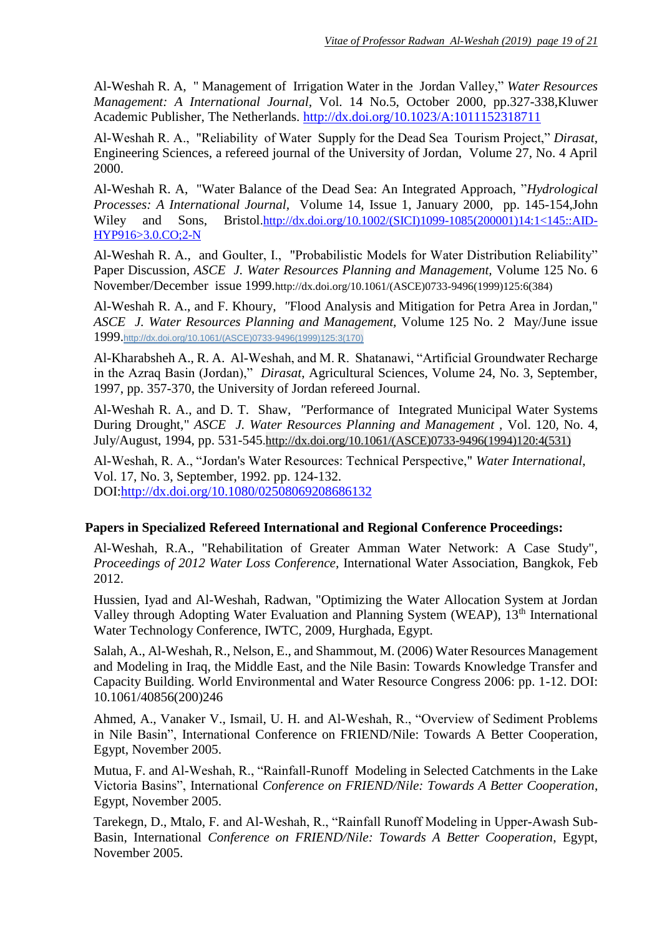Al-Weshah R. A, " Management of Irrigation Water in the Jordan Valley," *Water Resources Management: A International Journal,* Vol. 14 No.5, October 2000, pp.327-338,Kluwer Academic Publisher, The Netherlands[.](http://dx.doi.org/10.1023/A:1011152318711) <http://dx.doi.org/10.1023/A:1011152318711>

Al-Weshah R. A., "Reliability of Water Supply for the Dead Sea Tourism Project," *Dirasat*, Engineering Sciences, a refereed journal of the University of Jordan, Volume 27, No. 4 April 2000.

Al-Weshah R. A, "Water Balance of the Dead Sea: An Integrated Approach, "*Hydrological Processes: A International Journal,* Volume 14, Issue 1, January 2000, pp. 145-154,John Wiley and Sons, Bristol[.http://dx.doi.org/10.1002/\(SICI\)1099-1085\(200001\)14:1<145::AID-](http://dx.doi.org/10.1002/(SICI)1099-1085(200001)14:1%3c145::AID-HYP916%3e3.0.CO;2-N)[HYP916>3.0.CO;2-N](http://dx.doi.org/10.1002/(SICI)1099-1085(200001)14:1%3c145::AID-HYP916%3e3.0.CO;2-N)

Al-Weshah R. A., and Goulter, I., "Probabilistic Models for Water Distribution Reliability" Paper Discussion, *ASCE J. Water Resources Planning and Management,* Volume 125 No. 6 November/December issue 1999.[http://dx.doi.org/10.1061/\(ASCE\)0733-9496\(1999\)125:6\(384\)](http://dx.doi.org/10.1061/(ASCE)0733-9496(1999)125:6(384))

Al-Weshah R. A., and F. Khoury, *"*Flood Analysis and Mitigation for Petra Area in Jordan," *ASCE J. Water Resources Planning and Management,* Volume 125 No. 2 May/June issue 1999.[http://dx.doi.org/10.1061/\(ASCE\)0733-9496\(1999\)125:3\(170\)](http://dx.doi.org/10.1061/(ASCE)0733-9496(1999)125:3(170))

Al-Kharabsheh A., R. A. Al-Weshah, and M. R. Shatanawi, "Artificial Groundwater Recharge in the Azraq Basin (Jordan)," *Dirasat*, Agricultural Sciences, Volume 24, No. 3, September, 1997, pp. 357-370, the University of Jordan refereed Journal.

Al-Weshah R. A., and D. T. Shaw, *"*Performance of Integrated Municipal Water Systems During Drought," *ASCE J. Water Resources Planning and Management ,* Vol. 120, No. 4, July/August, 1994, pp. 531-545[.http://dx.doi.org/10.1061/\(ASCE\)0733-9496\(1994\)120:4\(531\)](http://dx.doi.org/10.1061/(ASCE)0733-9496(1994)120:4(531))

Al-Weshah, R. A., "Jordan's Water Resources: Technical Perspective," *Water International*, Vol. 17, No. 3, September, 1992. pp. 124-132. DOI[:http://dx.doi.org/10.1080/02508069208686132](http://dx.doi.org/10.1080/02508069208686132)

#### **Papers in Specialized Refereed International and Regional Conference Proceedings:**

Al-Weshah, R.A., "Rehabilitation of Greater Amman Water Network: A Case Study", *Proceedings of 2012 Water Loss Conference,* International Water Association, Bangkok, Feb 2012.

Hussien, Iyad and Al-Weshah, Radwan, "Optimizing the Water Allocation System at Jordan Valley through Adopting Water Evaluation and Planning System (WEAP), 13<sup>th</sup> International Water Technology Conference, IWTC, 2009, Hurghada, Egypt.

Salah, A., Al-Weshah, R., Nelson, E., and Shammout, M. (2006) Water Resources Management and Modeling in Iraq, the Middle East, and the Nile Basin: Towards Knowledge Transfer and Capacity Building. World Environmental and Water Resource Congress 2006: pp. 1-12. DOI: 10.1061/40856(200)246

Ahmed, A., Vanaker V., Ismail, U. H. and Al-Weshah, R., "Overview of Sediment Problems in Nile Basin", International Conference on FRIEND/Nile: Towards A Better Cooperation, Egypt, November 2005.

Mutua, F. and Al-Weshah, R., "Rainfall-Runoff Modeling in Selected Catchments in the Lake Victoria Basins", International *Conference on FRIEND/Nile: Towards A Better Cooperation*, Egypt, November 2005.

Tarekegn, D., Mtalo, F. and Al-Weshah, R., "Rainfall Runoff Modeling in Upper-Awash Sub-Basin, International *Conference on FRIEND/Nile: Towards A Better Cooperation*, Egypt, November 2005.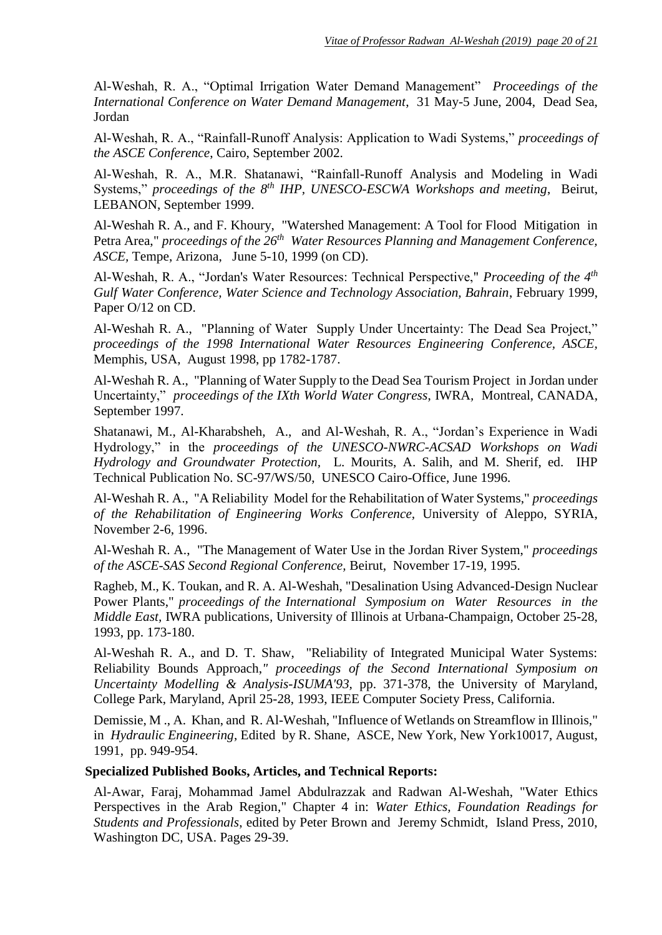Al-Weshah, R. A., "Optimal Irrigation Water Demand Management" *Proceedings of the International Conference on Water Demand Management*, 31 May-5 June, 2004, Dead Sea, Jordan

Al-Weshah, R. A., "Rainfall-Runoff Analysis: Application to Wadi Systems," *proceedings of the ASCE Conference*, Cairo, September 2002.

Al-Weshah, R. A., M.R. Shatanawi, "Rainfall-Runoff Analysis and Modeling in Wadi Systems," *proceedings of the 8th IHP, UNESCO-ESCWA Workshops and meeting*, Beirut, LEBANON, September 1999.

Al-Weshah R. A., and F. Khoury, "Watershed Management: A Tool for Flood Mitigation in Petra Area," *proceedings of the 26<sup>th</sup> Water Resources Planning and Management Conference, ASCE,* Tempe, Arizona, June 5-10, 1999 (on CD).

Al-Weshah, R. A., "Jordan's Water Resources: Technical Perspective," *Proceeding of the 4th Gulf Water Conference, Water Science and Technology Association, Bahrain*, February 1999, Paper O/12 on CD.

Al-Weshah R. A., "Planning of Water Supply Under Uncertainty: The Dead Sea Project," *proceedings of the 1998 International Water Resources Engineering Conference, ASCE,*  Memphis, USA, August 1998, pp 1782-1787.

Al-Weshah R. A., "Planning of Water Supply to the Dead Sea Tourism Project in Jordan under Uncertainty," *proceedings of the IXth World Water Congress*, IWRA*,* Montreal, CANADA, September 1997.

Shatanawi, M., Al-Kharabsheh, A., and Al-Weshah, R. A., "Jordan's Experience in Wadi Hydrology," in the *proceedings of the UNESCO-NWRC-ACSAD Workshops on Wadi Hydrology and Groundwater Protection,* L. Mourits, A. Salih, and M. Sherif, ed. IHP Technical Publication No. SC-97/WS/50, UNESCO Cairo-Office, June 1996.

Al-Weshah R. A., "A Reliability Model for the Rehabilitation of Water Systems," *proceedings of the Rehabilitation of Engineering Works Conference,* University of Aleppo, SYRIA, November 2-6, 1996.

Al-Weshah R. A., "The Management of Water Use in the Jordan River System," *proceedings of the ASCE-SAS Second Regional Conference,* Beirut, November 17-19, 1995.

Ragheb, M., K. Toukan, and R. A. Al-Weshah, "Desalination Using Advanced-Design Nuclear Power Plants," *proceedings of the International Symposium on Water Resources in the Middle East,* IWRA publications*,* University of Illinois at Urbana-Champaign, October 25-28, 1993, pp. 173-180.

Al-Weshah R. A., and D. T. Shaw, "Reliability of Integrated Municipal Water Systems: Reliability Bounds Approach,*" proceedings of the Second International Symposium on Uncertainty Modelling & Analysis-ISUMA'93,* pp. 371-378, the University of Maryland, College Park, Maryland, April 25-28, 1993, IEEE Computer Society Press, California.

Demissie, M ., A. Khan, and R. Al-Weshah, "Influence of Wetlands on Streamflow in Illinois," in *Hydraulic Engineering*, Edited by R. Shane, ASCE, New York, New York10017, August, 1991, pp. 949-954.

#### **Specialized Published Books, Articles, and Technical Reports:**

Al-Awar, Faraj, Mohammad Jamel Abdulrazzak and Radwan Al-Weshah, "Water Ethics Perspectives in the Arab Region," Chapter 4 in: *Water Ethics, Foundation Readings for Students and Professionals*, edited by Peter Brown and Jeremy Schmidt, Island Press, 2010, Washington DC, USA. Pages 29-39.